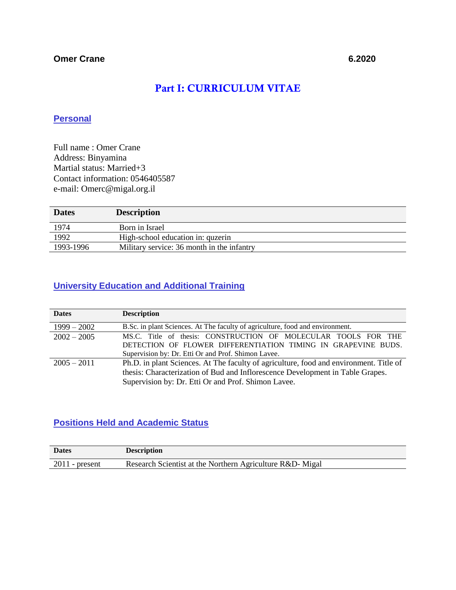# Part I: CURRICULUM VITAE

## **Personal**

Full name : Omer Crane Address: Binyamina Martial status: Married+3 Contact information: 0546405587 e-mail: Omerc@migal.org.il

| <b>Dates</b> | <b>Description</b>                         |
|--------------|--------------------------------------------|
| 1974         | Born in Israel                             |
| 1992         | High-school education in: quzerin          |
| 1993-1996    | Military service: 36 month in the infantry |

## **University Education and Additional Training**

| <b>Dates</b>  | <b>Description</b>                                                                     |
|---------------|----------------------------------------------------------------------------------------|
| $1999 - 2002$ | B.Sc. in plant Sciences. At The faculty of agriculture, food and environment.          |
| $2002 - 2005$ | MS.C. Title of thesis: CONSTRUCTION OF MOLECULAR TOOLS FOR THE                         |
|               | DETECTION OF FLOWER DIFFERENTIATION TIMING IN GRAPEVINE BUDS.                          |
|               | Supervision by: Dr. Etti Or and Prof. Shimon Lavee.                                    |
| $2005 - 2011$ | Ph.D. in plant Sciences. At The faculty of agriculture, food and environment. Title of |
|               | thesis: Characterization of Bud and Inflorescence Development in Table Grapes.         |
|               | Supervision by: Dr. Etti Or and Prof. Shimon Lavee.                                    |

## **Positions Held and Academic Status**

| <b>Dates</b>      | <b>Description</b>                                        |
|-------------------|-----------------------------------------------------------|
| 2011<br>- present | Research Scientist at the Northern Agriculture R&D- Migal |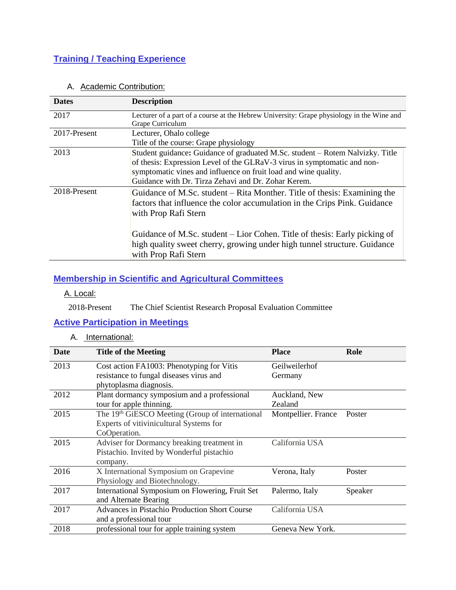# **Training / Teaching Experience**

A. Academic Contribution:

| <b>Description</b>                                                                        |
|-------------------------------------------------------------------------------------------|
| Lecturer of a part of a course at the Hebrew University: Grape physiology in the Wine and |
| Grape Curriculum                                                                          |
| Lecturer, Ohalo college                                                                   |
| Title of the course: Grape physiology                                                     |
| Student guidance: Guidance of graduated M.Sc. student - Rotem Nalvizky. Title             |
| of thesis: Expression Level of the GLRaV-3 virus in symptomatic and non-                  |
| symptomatic vines and influence on fruit load and wine quality.                           |
| Guidance with Dr. Tirza Zehavi and Dr. Zohar Kerem.                                       |
| Guidance of M.Sc. student – Rita Monther. Title of thesis: Examining the                  |
| factors that influence the color accumulation in the Crips Pink. Guidance                 |
| with Prop Rafi Stern                                                                      |
|                                                                                           |
| Guidance of M.Sc. student – Lior Cohen. Title of thesis: Early picking of                 |
| high quality sweet cherry, growing under high tunnel structure. Guidance                  |
| with Prop Rafi Stern                                                                      |
|                                                                                           |

## **Membership in Scientific and Agricultural Committees**

#### A. Local:

2018-Present The Chief Scientist Research Proposal Evaluation Committee

## **Active Participation in Meetings**

A. International:

| Date | <b>Title of the Meeting</b>                     | <b>Place</b>        | Role    |
|------|-------------------------------------------------|---------------------|---------|
| 2013 | Cost action FA1003: Phenotyping for Vitis       | Geilweilerhof       |         |
|      | resistance to fungal diseases virus and         | Germany             |         |
|      | phytoplasma diagnosis.                          |                     |         |
| 2012 | Plant dormancy symposium and a professional     | Auckland, New       |         |
|      | tour for apple thinning.                        | Zealand             |         |
| 2015 | The 19th GiESCO Meeting (Group of international | Montpellier. France | Poster  |
|      | Experts of vitivinicultural Systems for         |                     |         |
|      | CoOperation.                                    |                     |         |
| 2015 | Adviser for Dormancy breaking treatment in      | California USA      |         |
|      | Pistachio. Invited by Wonderful pistachio       |                     |         |
|      | company.                                        |                     |         |
| 2016 | X International Symposium on Grapevine          | Verona, Italy       | Poster  |
|      | Physiology and Biotechnology.                   |                     |         |
| 2017 | International Symposium on Flowering, Fruit Set | Palermo, Italy      | Speaker |
|      | and Alternate Bearing                           |                     |         |
| 2017 | Advances in Pistachio Production Short Course   | California USA      |         |
|      | and a professional tour                         |                     |         |
| 2018 | professional tour for apple training system     | Geneva New York.    |         |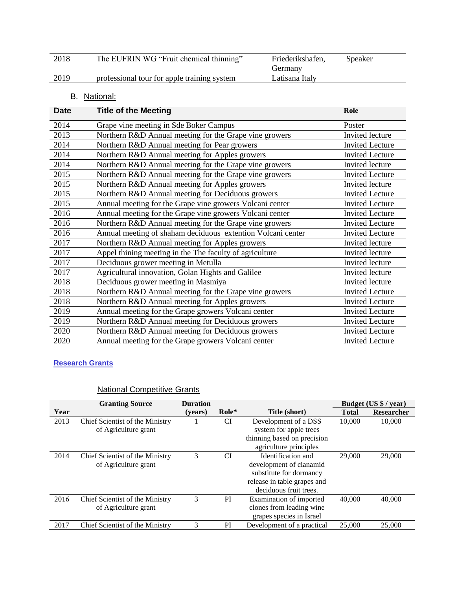| 2018 | The EUFRIN WG "Fruit chemical thinning"     | Friederikshafen,<br>Germany | Speaker |  |
|------|---------------------------------------------|-----------------------------|---------|--|
| 2019 | professional tour for apple training system | Latisana Italv              |         |  |

## B. National:

| <b>Date</b> | <b>Title of the Meeting</b>                                 | Role                   |
|-------------|-------------------------------------------------------------|------------------------|
| 2014        | Grape vine meeting in Sde Boker Campus                      | Poster                 |
| 2013        | Northern R&D Annual meeting for the Grape vine growers      | Invited lecture        |
| 2014        | Northern R&D Annual meeting for Pear growers                | <b>Invited Lecture</b> |
| 2014        | Northern R&D Annual meeting for Apples growers              | <b>Invited Lecture</b> |
| 2014        | Northern R&D Annual meeting for the Grape vine growers      | Invited lecture        |
| 2015        | Northern R&D Annual meeting for the Grape vine growers      | <b>Invited Lecture</b> |
| 2015        | Northern R&D Annual meeting for Apples growers              | Invited lecture        |
| 2015        | Northern R&D Annual meeting for Deciduous growers           | <b>Invited Lecture</b> |
| 2015        | Annual meeting for the Grape vine growers Volcani center    | <b>Invited Lecture</b> |
| 2016        | Annual meeting for the Grape vine growers Volcani center    | <b>Invited Lecture</b> |
| 2016        | Northern R&D Annual meeting for the Grape vine growers      | <b>Invited Lecture</b> |
| 2016        | Annual meeting of shaham deciduous extention Volcani center | <b>Invited Lecture</b> |
| 2017        | Northern R&D Annual meeting for Apples growers              | Invited lecture        |
| 2017        | Appel thining meeting in the The faculty of agriculture     | Invited lecture        |
| 2017        | Deciduous grower meeting in Metulla                         | Invited lecture        |
| 2017        | Agricultural innovation, Golan Hights and Galilee           | Invited lecture        |
| 2018        | Deciduous grower meeting in Masmiya                         | Invited lecture        |
| 2018        | Northern R&D Annual meeting for the Grape vine growers      | <b>Invited Lecture</b> |
| 2018        | Northern R&D Annual meeting for Apples growers              | <b>Invited Lecture</b> |
| 2019        | Annual meeting for the Grape growers Volcani center         | <b>Invited Lecture</b> |
| 2019        | Northern R&D Annual meeting for Deciduous growers           | <b>Invited Lecture</b> |
| 2020        | Northern R&D Annual meeting for Deciduous growers           | <b>Invited Lecture</b> |
| 2020        | Annual meeting for the Grape growers Volcani center         | <b>Invited Lecture</b> |

## **Research Grants**

## National Competitive Grants

|      | <b>Granting Source</b><br><b>Duration</b>               |         |           | Budget (US \$ / year)                                                                                                             |              |                   |
|------|---------------------------------------------------------|---------|-----------|-----------------------------------------------------------------------------------------------------------------------------------|--------------|-------------------|
| Year |                                                         | (vears) | Role*     | Title (short)                                                                                                                     | <b>Total</b> | <b>Researcher</b> |
| 2013 | Chief Scientist of the Ministry<br>of Agriculture grant |         | <b>CI</b> | Development of a DSS<br>system for apple trees<br>thinning based on precision<br>agriculture principles                           | 10,000       | 10,000            |
| 2014 | Chief Scientist of the Ministry<br>of Agriculture grant | 3       | CI        | Identification and<br>development of cianamid<br>substitute for dormancy<br>release in table grapes and<br>deciduous fruit trees. | 29,000       | 29,000            |
| 2016 | Chief Scientist of the Ministry<br>of Agriculture grant | 3       | PI        | Examination of imported<br>clones from leading wine<br>grapes species in Israel                                                   | 40,000       | 40,000            |
| 2017 | Chief Scientist of the Ministry                         | 3       | PI        | Development of a practical                                                                                                        | 25,000       | 25,000            |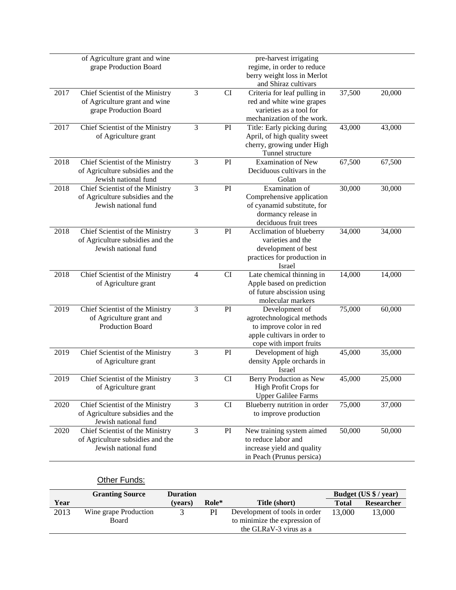|      | of Agriculture grant and wine    |   |           | pre-harvest irrigating                     |        |        |
|------|----------------------------------|---|-----------|--------------------------------------------|--------|--------|
|      | grape Production Board           |   |           | regime, in order to reduce                 |        |        |
|      |                                  |   |           | berry weight loss in Merlot                |        |        |
|      |                                  |   |           | and Shiraz cultivars                       |        |        |
| 2017 | Chief Scientist of the Ministry  | 3 | <b>CI</b> | Criteria for leaf pulling in               | 37,500 | 20,000 |
|      | of Agriculture grant and wine    |   |           | red and white wine grapes                  |        |        |
|      | grape Production Board           |   |           | varieties as a tool for                    |        |        |
|      |                                  |   |           | mechanization of the work.                 |        |        |
| 2017 | Chief Scientist of the Ministry  | 3 | PI        | Title: Early picking during                | 43,000 | 43,000 |
|      | of Agriculture grant             |   |           | April, of high quality sweet               |        |        |
|      |                                  |   |           | cherry, growing under High                 |        |        |
|      |                                  |   |           | Tunnel structure                           |        |        |
| 2018 | Chief Scientist of the Ministry  | 3 | PI        | <b>Examination of New</b>                  | 67,500 | 67,500 |
|      | of Agriculture subsidies and the |   |           | Deciduous cultivars in the                 |        |        |
|      | Jewish national fund             |   |           | Golan                                      |        |        |
| 2018 | Chief Scientist of the Ministry  | 3 | PI        | Examination of                             | 30,000 | 30,000 |
|      | of Agriculture subsidies and the |   |           | Comprehensive application                  |        |        |
|      | Jewish national fund             |   |           | of cyanamid substitute, for                |        |        |
|      |                                  |   |           | dormancy release in                        |        |        |
|      |                                  |   |           | deciduous fruit trees                      |        |        |
| 2018 | Chief Scientist of the Ministry  | 3 | PI        | Acclimation of blueberry                   | 34,000 | 34,000 |
|      | of Agriculture subsidies and the |   |           | varieties and the                          |        |        |
|      | Jewish national fund             |   |           | development of best                        |        |        |
|      |                                  |   |           | practices for production in                |        |        |
|      |                                  |   |           | Israel                                     |        |        |
| 2018 | Chief Scientist of the Ministry  | 4 | <b>CI</b> | Late chemical thinning in                  | 14,000 | 14,000 |
|      | of Agriculture grant             |   |           | Apple based on prediction                  |        |        |
|      |                                  |   |           | of future abscission using                 |        |        |
|      |                                  | 3 |           | molecular markers                          |        |        |
| 2019 | Chief Scientist of the Ministry  |   | PI        | Development of                             | 75,000 | 60,000 |
|      | of Agriculture grant and         |   |           | agrotechnological methods                  |        |        |
|      | Production Board                 |   |           | to improve color in red                    |        |        |
|      |                                  |   |           | apple cultivars in order to                |        |        |
| 2019 |                                  | 3 | PI        | cope with import fruits                    |        | 35,000 |
|      | Chief Scientist of the Ministry  |   |           | Development of high                        | 45,000 |        |
|      | of Agriculture grant             |   |           | density Apple orchards in<br><b>Israel</b> |        |        |
| 2019 | Chief Scientist of the Ministry  | 3 | CI        | Berry Production as New                    | 45,000 | 25,000 |
|      | of Agriculture grant             |   |           | High Profit Crops for                      |        |        |
|      |                                  |   |           | <b>Upper Galilee Farms</b>                 |        |        |
| 2020 | Chief Scientist of the Ministry  | 3 | CI        | Blueberry nutrition in order               | 75,000 | 37,000 |
|      | of Agriculture subsidies and the |   |           | to improve production                      |        |        |
|      | Jewish national fund             |   |           |                                            |        |        |
| 2020 | Chief Scientist of the Ministry  | 3 | PI        | New training system aimed                  | 50,000 | 50,000 |
|      | of Agriculture subsidies and the |   |           | to reduce labor and                        |        |        |
|      | Jewish national fund             |   |           | increase yield and quality                 |        |        |
|      |                                  |   |           | in Peach (Prunus persica)                  |        |        |
|      |                                  |   |           |                                            |        |        |

## **Other Funds:**

|      | <b>Granting Source</b>         | <b>Duration</b> |       |                                                                                          |              | Budget (US \$ / year) |
|------|--------------------------------|-----------------|-------|------------------------------------------------------------------------------------------|--------------|-----------------------|
| Year |                                | (vears)         | Role* | Title (short)                                                                            | <b>Total</b> | Researcher            |
| 2013 | Wine grape Production<br>Board |                 | PI    | Development of tools in order<br>to minimize the expression of<br>the GLRaV-3 virus as a | 13,000       | 13,000                |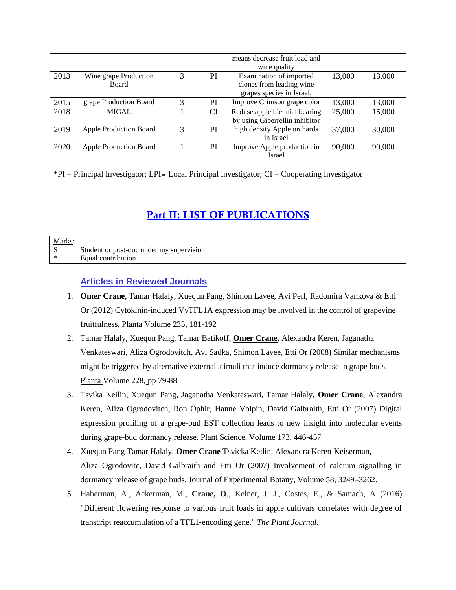|      |                                       |   |    | means decrease fruit load and<br>wine quality                                    |        |        |
|------|---------------------------------------|---|----|----------------------------------------------------------------------------------|--------|--------|
| 2013 | Wine grape Production<br><b>Board</b> | 3 | PI | Examination of imported<br>clones from leading wine<br>grapes species in Israel. | 13,000 | 13,000 |
| 2015 | grape Production Board                | 3 | PI | Improve Crimson grape color                                                      | 13,000 | 13,000 |
| 2018 | <b>MIGAL</b>                          |   | CI | Reduse apple biennial bearing<br>by using Giberrellin inhibitor                  | 25,000 | 15,000 |
| 2019 | <b>Apple Production Board</b>         | 3 | PI | high density Apple orchards<br>in Israel                                         | 37,000 | 30,000 |
| 2020 | <b>Apple Production Board</b>         |   | PI | Improve Apple prodaction in<br>Israel                                            | 90,000 | 90,000 |

\*PI = Principal Investigator; LPI= Local Principal Investigator; CI = Cooperating Investigator

# Part II: LIST OF PUBLICATIONS

| Marks: |                                          |
|--------|------------------------------------------|
|        | Student or post-doc under my supervision |
| ∗      | Equal contribution                       |

#### **Articles in Reviewed Journals**

- 1. **Omer Crane**, Tamar Halaly, Xuequn Pang, Shimon Lavee, Avi Perl, Radomira Vankova & Etti Or (2012) Cytokinin-induced VvTFL1A expression may be involved in the control of grapevine fruitfulness. [Planta](http://link.springer.com/journal/425) Volume 235, 181-192
- 2. [Tamar Halaly,](http://link.springer.com/search?facet-author=%22Tamar+Halaly%22) [Xuequn Pang,](http://link.springer.com/search?facet-author=%22Xuequn+Pang%22) [Tamar Batikoff,](http://link.springer.com/search?facet-author=%22Tamar+Batikoff%22) **[Omer Crane](http://link.springer.com/search?facet-author=%22Omer+Crane%22)**, [Alexandra Keren,](http://link.springer.com/search?facet-author=%22Alexandra+Keren%22) [Jaganatha](http://link.springer.com/search?facet-author=%22Jaganatha+Venkateswari%22)  [Venkateswari,](http://link.springer.com/search?facet-author=%22Jaganatha+Venkateswari%22) [Aliza Ogrodovitch,](http://link.springer.com/search?facet-author=%22Aliza+Ogrodovitch%22) [Avi Sadka,](http://link.springer.com/search?facet-author=%22Avi+Sadka%22) [Shimon Lavee,](http://link.springer.com/search?facet-author=%22Shimon+Lavee%22) [Etti Or](http://link.springer.com/search?facet-author=%22Etti+Or%22) (2008) Similar mechanisms might be triggered by alternative external stimuli that induce dormancy release in grape buds. [Planta](http://link.springer.com/journal/425) Volume 228, pp 79-88
- 3. Tsvika Keilin, Xuequn Pang, Jaganatha Venkateswari, Tamar Halaly, **Omer Crane**, Alexandra Keren, Aliza Ogrodovitch, Ron Ophir, Hanne Volpin, David Galbraith, Etti Or (2007) Digital expression profiling of a grape-bud EST collection leads to new insight into molecular events during grape-bud dormancy release. Plant Science, Volume 173, 446-457
- 4. Xuequn Pang Tamar Halaly, **Omer Crane** Tsvicka Keilin, Alexandra Keren-Keiserman, Aliza Ogrodovitc, David Galbraith and Etti Or (2007) Involvement of calcium signalling in dormancy release of grape buds. Journal of Experimental Botany, Volume 58, 3249–3262.
- 5. Haberman, A., Ackerman, M., **Crane, O**., Kelner, J. J., Costes, E., & Samach, A (2016) "Different flowering response to various fruit loads in apple cultivars correlates with degree of transcript reaccumulation of a TFL1‐encoding gene." *The Plant Journal*.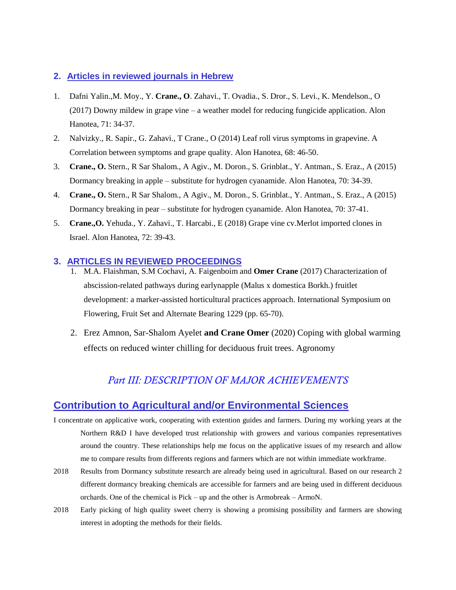#### **2. Articles in reviewed journals in Hebrew**

- 1. Dafni Yalin.,M. Moy., Y. **Crane., O**. Zahavi., T. Ovadia., S. Dror., S. Levi., K. Mendelson., O (2017) Downy mildew in grape vine – a weather model for reducing fungicide application. Alon Hanotea, 71: 34-37.
- 2. Nalvizky., R. Sapir., G. Zahavi., T Crane., O (2014) Leaf roll virus symptoms in grapevine. A Correlation between symptoms and grape quality. Alon Hanotea, 68: 46-50.
- 3. **Crane., O.** Stern., R Sar Shalom., A Agiv., M. Doron., S. Grinblat., Y. Antman., S. Eraz., A (2015) Dormancy breaking in apple – substitute for hydrogen cyanamide. Alon Hanotea, 70: 34-39.
- 4. **Crane., O.** Stern., R Sar Shalom., A Agiv., M. Doron., S. Grinblat., Y. Antman., S. Eraz., A (2015) Dormancy breaking in pear – substitute for hydrogen cyanamide. Alon Hanotea, 70: 37-41.
- 5. **Crane.,O.** Yehuda., Y. Zahavi., T. Harcabi., E (2018) Grape vine cv.Merlot imported clones in Israel. Alon Hanotea, 72: 39-43.

#### **3. ARTICLES IN REVIEWED PROCEEDINGS**

- 1. M.A. Flaishman, S.M Cochavi, A. Faigenboim and **Omer Crane** (2017) Characterization of abscission-related pathways during earlynapple (Malus x domestica Borkh.) fruitlet development: a marker-assisted horticultural practices approach. International Symposium on Flowering, Fruit Set and Alternate Bearing 1229 (pp. 65-70).
- 2. Erez Amnon, Sar-Shalom Ayelet **and Crane Omer** (2020) Coping with global warming effects on reduced winter chilling for deciduous fruit trees. Agronomy

# *Part III: DESCRIPTION OF MAJOR ACHIEVEMENTS*

## **Contribution to Agricultural and/or Environmental Sciences**

- I concentrate on applicative work, cooperating with extention guides and farmers. During my working years at the Northern R&D I have developed trust relationship with growers and various companies representatives around the country. These relationships help me focus on the applicative issues of my research and allow me to compare results from differents regions and farmers which are not within immediate workframe.
- 2018 Results from Dormancy substitute research are already being used in agricultural. Based on our research 2 different dormancy breaking chemicals are accessible for farmers and are being used in different deciduous orchards. One of the chemical is Pick – up and the other is Armobreak – ArmoN.
- 2018 Early picking of high quality sweet cherry is showing a promising possibility and farmers are showing interest in adopting the methods for their fields.